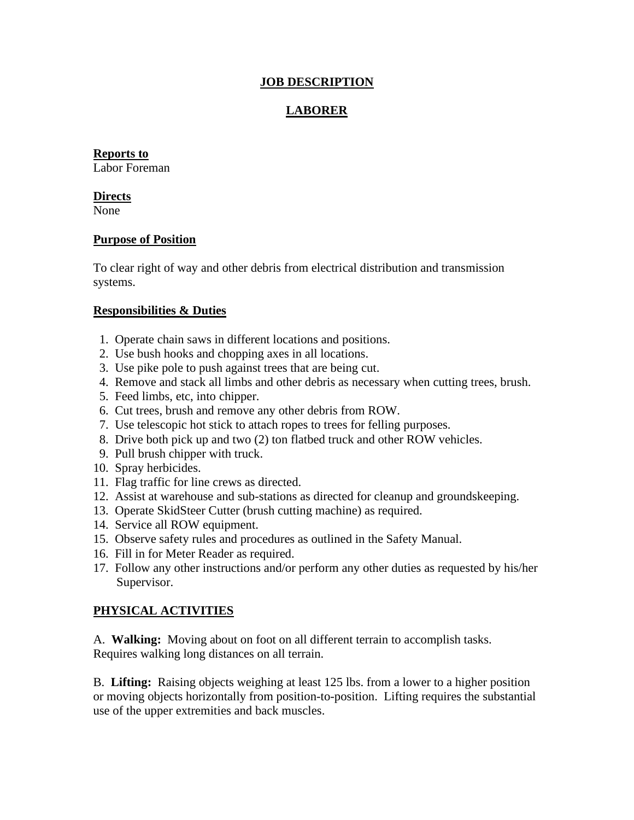## **JOB DESCRIPTION**

# **LABORER**

### **Reports to**

Labor Foreman

#### **Directs**

None

### **Purpose of Position**

To clear right of way and other debris from electrical distribution and transmission systems.

### **Responsibilities & Duties**

- 1. Operate chain saws in different locations and positions.
- 2. Use bush hooks and chopping axes in all locations.
- 3. Use pike pole to push against trees that are being cut.
- 4. Remove and stack all limbs and other debris as necessary when cutting trees, brush.
- 5. Feed limbs, etc, into chipper.
- 6. Cut trees, brush and remove any other debris from ROW.
- 7. Use telescopic hot stick to attach ropes to trees for felling purposes.
- 8. Drive both pick up and two (2) ton flatbed truck and other ROW vehicles.
- 9. Pull brush chipper with truck.
- 10. Spray herbicides.
- 11. Flag traffic for line crews as directed.
- 12. Assist at warehouse and sub-stations as directed for cleanup and groundskeeping.
- 13. Operate SkidSteer Cutter (brush cutting machine) as required.
- 14. Service all ROW equipment.
- 15. Observe safety rules and procedures as outlined in the Safety Manual.
- 16. Fill in for Meter Reader as required.
- 17. Follow any other instructions and/or perform any other duties as requested by his/her Supervisor.

## **PHYSICAL ACTIVITIES**

A. **Walking:** Moving about on foot on all different terrain to accomplish tasks. Requires walking long distances on all terrain.

B. **Lifting:** Raising objects weighing at least 125 lbs. from a lower to a higher position or moving objects horizontally from position-to-position. Lifting requires the substantial use of the upper extremities and back muscles.